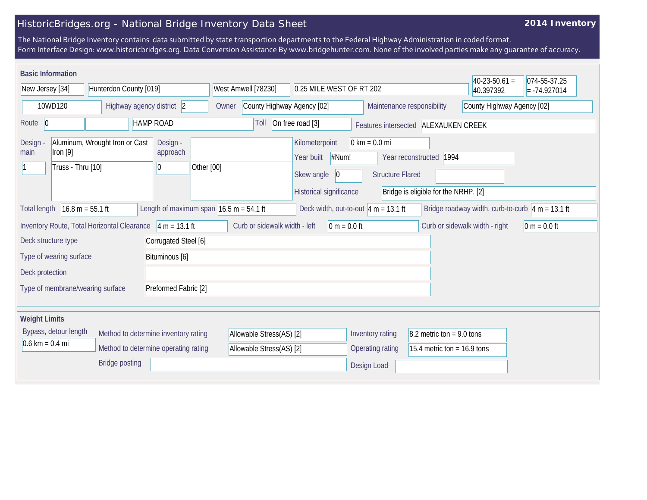## HistoricBridges.org - National Bridge Inventory Data Sheet

## **2014 Inventory**

The National Bridge Inventory contains data submitted by state transportion departments to the Federal Highway Administration in coded format. Form Interface Design: www.historicbridges.org. Data Conversion Assistance By www.bridgehunter.com. None of the involved parties make any guarantee of accuracy.

| <b>Basic Information</b>                                                  |                                                              |                                                   |                                                          |                                                           |                                                            |                                      | $40-23-50.61 =$                                     | 074-55-37.25   |
|---------------------------------------------------------------------------|--------------------------------------------------------------|---------------------------------------------------|----------------------------------------------------------|-----------------------------------------------------------|------------------------------------------------------------|--------------------------------------|-----------------------------------------------------|----------------|
| New Jersey [34]<br>Hunterdon County [019]                                 |                                                              | West Amwell [78230]<br>0.25 MILE WEST OF RT 202   |                                                          |                                                           |                                                            | 40.397392                            | $= -74.927014$                                      |                |
| 10WD120<br>Highway agency district 2                                      |                                                              | Owner                                             | Maintenance responsibility<br>County Highway Agency [02] |                                                           |                                                            | County Highway Agency [02]           |                                                     |                |
| Route 0                                                                   | <b>HAMP ROAD</b>                                             |                                                   | Toll                                                     | On free road [3]                                          |                                                            | Features intersected ALEXAUKEN CREEK |                                                     |                |
| Design<br>main<br>$[1$ ron $[9]$<br>Truss - Thru [10]                     | Aluminum, Wrought Iron or Cast                               | Design -<br>approach<br>$ 0\rangle$<br>Other [00] |                                                          | Kilometerpoint<br>#Num!<br>Year built<br>Skew angle<br> 0 | $0 \text{ km} = 0.0 \text{ mi}$<br><b>Structure Flared</b> | Year reconstructed 1994              |                                                     |                |
|                                                                           |                                                              |                                                   |                                                          | Historical significance                                   |                                                            | Bridge is eligible for the NRHP. [2] |                                                     |                |
| $16.8 m = 55.1 ft$<br><b>Total length</b>                                 |                                                              | Length of maximum span $16.5$ m = 54.1 ft         |                                                          | Deck width, out-to-out $4 m = 13.1 ft$                    |                                                            |                                      | Bridge roadway width, curb-to-curb $ 4 m = 13.1$ ft |                |
|                                                                           | Inventory Route, Total Horizontal Clearance $ 4 m = 13.1 ft$ |                                                   | Curb or sidewalk width - left                            | $ 0 m = 0.0 ft$                                           |                                                            |                                      | Curb or sidewalk width - right                      | $0 m = 0.0 ft$ |
| Deck structure type                                                       |                                                              | Corrugated Steel [6]                              |                                                          |                                                           |                                                            |                                      |                                                     |                |
| Type of wearing surface                                                   |                                                              | Bituminous [6]                                    |                                                          |                                                           |                                                            |                                      |                                                     |                |
| Deck protection                                                           |                                                              |                                                   |                                                          |                                                           |                                                            |                                      |                                                     |                |
| Type of membrane/wearing surface                                          |                                                              | Preformed Fabric [2]                              |                                                          |                                                           |                                                            |                                      |                                                     |                |
| <b>Weight Limits</b>                                                      |                                                              |                                                   |                                                          |                                                           |                                                            |                                      |                                                     |                |
| Bypass, detour length<br>Method to determine inventory rating             |                                                              |                                                   | Allowable Stress(AS) [2]                                 |                                                           | $8.2$ metric ton = 9.0 tons                                |                                      |                                                     |                |
| $0.6 \text{ km} = 0.4 \text{ mi}$<br>Method to determine operating rating |                                                              |                                                   | Allowable Stress(AS) [2]                                 |                                                           | 15.4 metric ton = $16.9$ tons                              |                                      |                                                     |                |
|                                                                           | <b>Bridge posting</b>                                        |                                                   |                                                          |                                                           | Design Load                                                |                                      |                                                     |                |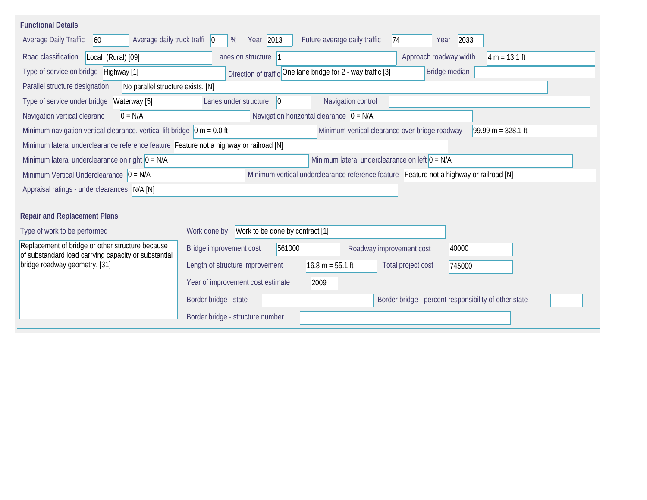| <b>Functional Details</b>                                                                                                                                  |                                                                                         |  |  |  |  |  |
|------------------------------------------------------------------------------------------------------------------------------------------------------------|-----------------------------------------------------------------------------------------|--|--|--|--|--|
| <b>Average Daily Traffic</b><br>Average daily truck traffi   0<br>60                                                                                       | 2033<br>%<br>Year 2013<br>Future average daily traffic<br> 74<br>Year                   |  |  |  |  |  |
| Road classification<br>Local (Rural) [09]                                                                                                                  | Lanes on structure  1<br>Approach roadway width<br>$4 m = 13.1 ft$                      |  |  |  |  |  |
| Type of service on bridge Highway [1]                                                                                                                      | Direction of traffic One lane bridge for 2 - way traffic [3]<br>Bridge median           |  |  |  |  |  |
| Parallel structure designation<br>No parallel structure exists. [N]                                                                                        |                                                                                         |  |  |  |  |  |
| Type of service under bridge<br>Waterway [5]                                                                                                               | Navigation control<br>Lanes under structure<br>$\vert$ 0                                |  |  |  |  |  |
| Navigation vertical clearanc<br>$0 = N/A$                                                                                                                  | Navigation horizontal clearance $ 0 = N/A$                                              |  |  |  |  |  |
| Minimum navigation vertical clearance, vertical lift bridge $\vert$ 0 m = 0.0 ft<br>Minimum vertical clearance over bridge roadway<br>$99.99 m = 328.1 ft$ |                                                                                         |  |  |  |  |  |
| Minimum lateral underclearance reference feature Feature not a highway or railroad [N]                                                                     |                                                                                         |  |  |  |  |  |
| Minimum lateral underclearance on right $0 = N/A$                                                                                                          | Minimum lateral underclearance on left $0 = N/A$                                        |  |  |  |  |  |
| Minimum Vertical Underclearance $ 0 = N/A $                                                                                                                | Minimum vertical underclearance reference feature Feature not a highway or railroad [N] |  |  |  |  |  |
| Appraisal ratings - underclearances N/A [N]                                                                                                                |                                                                                         |  |  |  |  |  |
|                                                                                                                                                            |                                                                                         |  |  |  |  |  |
| <b>Repair and Replacement Plans</b>                                                                                                                        |                                                                                         |  |  |  |  |  |
| Type of work to be performed                                                                                                                               | Work to be done by contract [1]<br>Work done by                                         |  |  |  |  |  |
| Replacement of bridge or other structure because<br>of substandard load carrying capacity or substantial                                                   | Bridge improvement cost<br>561000<br>40000<br>Roadway improvement cost                  |  |  |  |  |  |
| bridge roadway geometry. [31]                                                                                                                              | $16.8 m = 55.1 ft$<br>Length of structure improvement<br>Total project cost<br>745000   |  |  |  |  |  |
|                                                                                                                                                            | 2009<br>Year of improvement cost estimate                                               |  |  |  |  |  |
|                                                                                                                                                            | Border bridge - percent responsibility of other state<br>Border bridge - state          |  |  |  |  |  |
|                                                                                                                                                            | Border bridge - structure number                                                        |  |  |  |  |  |